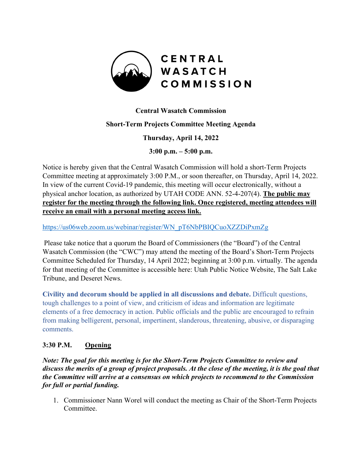

# **Central Wasatch Commission**

#### **Short-Term Projects Committee Meeting Agenda**

**Thursday, April 14, 2022**

**3:00 p.m. – 5:00 p.m.**

Notice is hereby given that the Central Wasatch Commission will hold a short-Term Projects Committee meeting at approximately 3:00 P.M., or soon thereafter, on Thursday, April 14, 2022. In view of the current Covid-19 pandemic, this meeting will occur electronically, without a physical anchor location, as authorized by UTAH CODE ANN. 52-4-207(4). **The public may register for the meeting through the following link. Once registered, meeting attendees will receive an email with a personal meeting access link.** 

[https://us06web.zoom.us/webinar/register/WN\\_pT6NbPBIQCuoXZZDiPxmZg](https://us06web.zoom.us/webinar/register/WN_pT6NbPBIQCuoXZZDiPxmZg)

Please take notice that a quorum the Board of Commissioners (the "Board") of the Central Wasatch Commission (the "CWC") may attend the meeting of the Board's Short-Term Projects Committee Scheduled for Thursday, 14 April 2022; beginning at 3:00 p.m. virtually. The agenda for that meeting of the Committee is accessible here: Utah Public Notice Website, The Salt Lake Tribune, and Deseret News.

**Civility and decorum should be applied in all discussions and debate.** Difficult questions, tough challenges to a point of view, and criticism of ideas and information are legitimate elements of a free democracy in action. Public officials and the public are encouraged to refrain from making belligerent, personal, impertinent, slanderous, threatening, abusive, or disparaging comments.

# **3:30 P.M. Opening**

*Note: The goal for this meeting is for the Short-Term Projects Committee to review and discuss the merits of a group of project proposals. At the close of the meeting, it is the goal that the Committee will arrive at a consensus on which projects to recommend to the Commission for full or partial funding.*

1. Commissioner Nann Worel will conduct the meeting as Chair of the Short-Term Projects Committee.